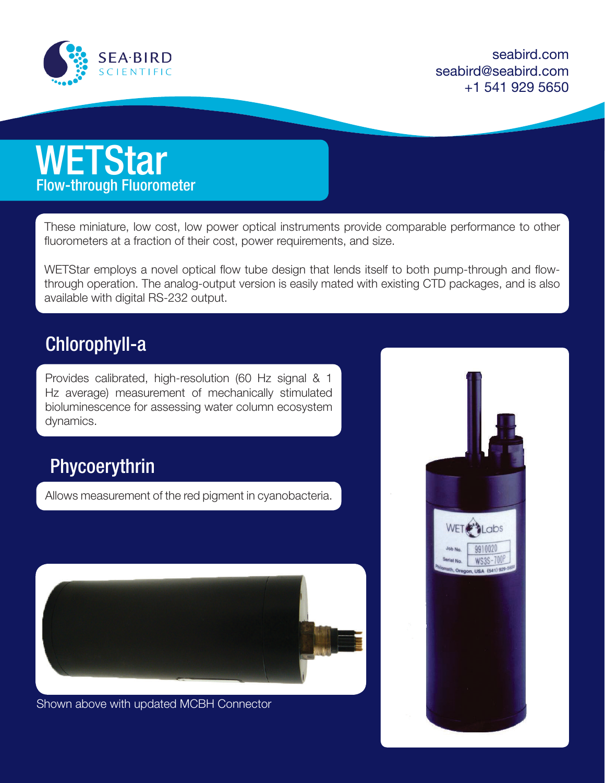

seabird.com seabird@seabird.com +1 541 929 5650



These miniature, low cost, low power optical instruments provide comparable performance to other fluorometers at a fraction of their cost, power requirements, and size.

WETStar employs a novel optical flow tube design that lends itself to both pump-through and flowthrough operation. The analog-output version is easily mated with existing CTD packages, and is also available with digital RS-232 output.

## Chlorophyll-a

Provides calibrated, high-resolution (60 Hz signal & 1 Hz average) measurement of mechanically stimulated bioluminescence for assessing water column ecosystem dynamics.

## Phycoerythrin

Allows measurement of the red pigment in cyanobacteria.



Shown above with updated MCBH Connector